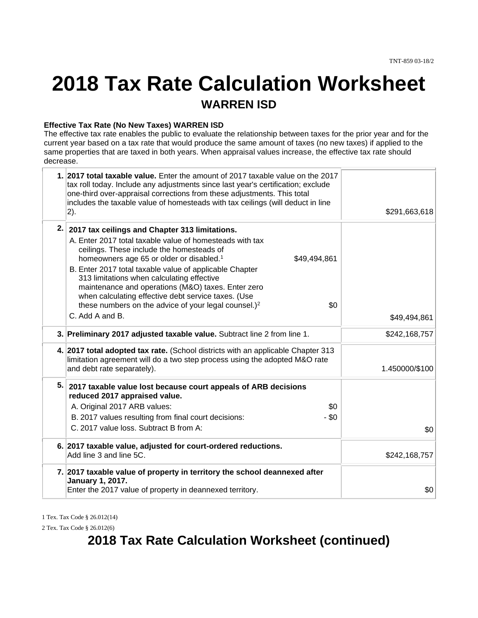# **2018 Tax Rate Calculation Worksheet WARREN ISD**

#### **Effective Tax Rate (No New Taxes) WARREN ISD**

The effective tax rate enables the public to evaluate the relationship between taxes for the prior year and for the current year based on a tax rate that would produce the same amount of taxes (no new taxes) if applied to the same properties that are taxed in both years. When appraisal values increase, the effective tax rate should decrease.

|     | 1. 2017 total taxable value. Enter the amount of 2017 taxable value on the 2017<br>tax roll today. Include any adjustments since last year's certification; exclude<br>one-third over-appraisal corrections from these adjustments. This total<br>includes the taxable value of homesteads with tax ceilings (will deduct in line<br> 2).                                                                                                                                                                                                           | \$291,663,618  |
|-----|-----------------------------------------------------------------------------------------------------------------------------------------------------------------------------------------------------------------------------------------------------------------------------------------------------------------------------------------------------------------------------------------------------------------------------------------------------------------------------------------------------------------------------------------------------|----------------|
| 2.1 | 2017 tax ceilings and Chapter 313 limitations.<br>A. Enter 2017 total taxable value of homesteads with tax<br>ceilings. These include the homesteads of<br>homeowners age 65 or older or disabled. <sup>1</sup><br>\$49,494,861<br>B. Enter 2017 total taxable value of applicable Chapter<br>313 limitations when calculating effective<br>maintenance and operations (M&O) taxes. Enter zero<br>when calculating effective debt service taxes. (Use<br>\$0<br>these numbers on the advice of your legal counsel.) <sup>2</sup><br>C. Add A and B. | \$49,494,861   |
|     | 3. Preliminary 2017 adjusted taxable value. Subtract line 2 from line 1.                                                                                                                                                                                                                                                                                                                                                                                                                                                                            | \$242,168,757  |
|     | 4. 2017 total adopted tax rate. (School districts with an applicable Chapter 313<br>limitation agreement will do a two step process using the adopted M&O rate<br>and debt rate separately).                                                                                                                                                                                                                                                                                                                                                        | 1.450000/\$100 |
| 5.1 | 2017 taxable value lost because court appeals of ARB decisions<br>reduced 2017 appraised value.<br>A. Original 2017 ARB values:<br>\$0<br>$-$ \$0<br>B. 2017 values resulting from final court decisions:<br>C. 2017 value loss. Subtract B from A:                                                                                                                                                                                                                                                                                                 | \$0            |
|     | 6. 2017 taxable value, adjusted for court-ordered reductions.<br>Add line 3 and line 5C.                                                                                                                                                                                                                                                                                                                                                                                                                                                            | \$242,168,757  |
|     | 7. 2017 taxable value of property in territory the school deannexed after<br><b>January 1, 2017.</b><br>Enter the 2017 value of property in deannexed territory.                                                                                                                                                                                                                                                                                                                                                                                    | \$0            |
|     |                                                                                                                                                                                                                                                                                                                                                                                                                                                                                                                                                     |                |

1 Tex. Tax Code § 26.012(14)

2 Tex. Tax Code § 26.012(6)

## **2018 Tax Rate Calculation Worksheet (continued)**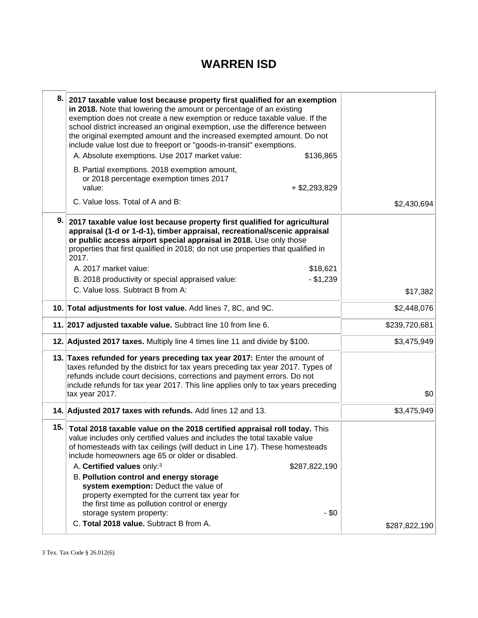## **WARREN ISD**

| 8.  | 2017 taxable value lost because property first qualified for an exemption<br>in 2018. Note that lowering the amount or percentage of an existing<br>exemption does not create a new exemption or reduce taxable value. If the<br>school district increased an original exemption, use the difference between<br>the original exempted amount and the increased exempted amount. Do not<br>include value lost due to freeport or "goods-in-transit" exemptions.<br>A. Absolute exemptions. Use 2017 market value:<br>\$136,865<br>B. Partial exemptions. 2018 exemption amount,<br>or 2018 percentage exemption times 2017<br>value:<br>$+$ \$2,293,829 |               |
|-----|--------------------------------------------------------------------------------------------------------------------------------------------------------------------------------------------------------------------------------------------------------------------------------------------------------------------------------------------------------------------------------------------------------------------------------------------------------------------------------------------------------------------------------------------------------------------------------------------------------------------------------------------------------|---------------|
|     | C. Value loss. Total of A and B:                                                                                                                                                                                                                                                                                                                                                                                                                                                                                                                                                                                                                       | \$2,430,694   |
| 9.  | 2017 taxable value lost because property first qualified for agricultural<br>appraisal (1-d or 1-d-1), timber appraisal, recreational/scenic appraisal<br>or public access airport special appraisal in 2018. Use only those<br>properties that first qualified in 2018; do not use properties that qualified in<br>2017.<br>A. 2017 market value:<br>\$18,621<br>$- $1,239$<br>B. 2018 productivity or special appraised value:<br>C. Value loss. Subtract B from A:                                                                                                                                                                                  | \$17,382      |
|     | 10. Total adjustments for lost value. Add lines 7, 8C, and 9C.                                                                                                                                                                                                                                                                                                                                                                                                                                                                                                                                                                                         | \$2,448,076   |
|     | 11. 2017 adjusted taxable value. Subtract line 10 from line 6.                                                                                                                                                                                                                                                                                                                                                                                                                                                                                                                                                                                         | \$239,720,681 |
|     | 12. Adjusted 2017 taxes. Multiply line 4 times line 11 and divide by \$100.                                                                                                                                                                                                                                                                                                                                                                                                                                                                                                                                                                            | \$3,475,949   |
|     | 13. Taxes refunded for years preceding tax year 2017: Enter the amount of<br>taxes refunded by the district for tax years preceding tax year 2017. Types of<br>refunds include court decisions, corrections and payment errors. Do not<br>include refunds for tax year 2017. This line applies only to tax years preceding<br>tax year 2017.                                                                                                                                                                                                                                                                                                           | \$0           |
|     | 14. Adjusted 2017 taxes with refunds. Add lines 12 and 13.                                                                                                                                                                                                                                                                                                                                                                                                                                                                                                                                                                                             | \$3,475,949   |
| 15. | Total 2018 taxable value on the 2018 certified appraisal roll today. This<br>value includes only certified values and includes the total taxable value<br>of homesteads with tax ceilings (will deduct in Line 17). These homesteads<br>include homeowners age 65 or older or disabled.<br>A. Certified values only: <sup>3</sup><br>\$287,822,190<br><b>B. Pollution control and energy storage</b><br>system exemption: Deduct the value of<br>property exempted for the current tax year for<br>the first time as pollution control or energy<br>$-$ \$0<br>storage system property:<br>C. Total 2018 value. Subtract B from A.                     | \$287,822,190 |
|     |                                                                                                                                                                                                                                                                                                                                                                                                                                                                                                                                                                                                                                                        |               |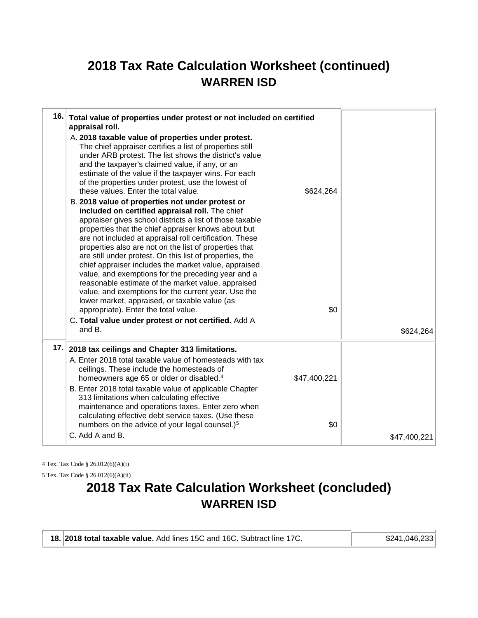## **2018 Tax Rate Calculation Worksheet (continued) WARREN ISD**

|     | 16. Total value of properties under protest or not included on certified<br>appraisal roll.                                                                                                                                                                                                                                                                                                                                                                                                                                                                                                                                                                                                                                                                                                   |              |              |
|-----|-----------------------------------------------------------------------------------------------------------------------------------------------------------------------------------------------------------------------------------------------------------------------------------------------------------------------------------------------------------------------------------------------------------------------------------------------------------------------------------------------------------------------------------------------------------------------------------------------------------------------------------------------------------------------------------------------------------------------------------------------------------------------------------------------|--------------|--------------|
|     | A. 2018 taxable value of properties under protest.<br>The chief appraiser certifies a list of properties still<br>under ARB protest. The list shows the district's value<br>and the taxpayer's claimed value, if any, or an<br>estimate of the value if the taxpayer wins. For each<br>of the properties under protest, use the lowest of<br>these values. Enter the total value.                                                                                                                                                                                                                                                                                                                                                                                                             | \$624,264    |              |
|     | B. 2018 value of properties not under protest or<br>included on certified appraisal roll. The chief<br>appraiser gives school districts a list of those taxable<br>properties that the chief appraiser knows about but<br>are not included at appraisal roll certification. These<br>properties also are not on the list of properties that<br>are still under protest. On this list of properties, the<br>chief appraiser includes the market value, appraised<br>value, and exemptions for the preceding year and a<br>reasonable estimate of the market value, appraised<br>value, and exemptions for the current year. Use the<br>lower market, appraised, or taxable value (as<br>appropriate). Enter the total value.<br>C. Total value under protest or not certified. Add A<br>and B. | \$0          | \$624,264    |
| 17. | 2018 tax ceilings and Chapter 313 limitations.                                                                                                                                                                                                                                                                                                                                                                                                                                                                                                                                                                                                                                                                                                                                                |              |              |
|     | A. Enter 2018 total taxable value of homesteads with tax<br>ceilings. These include the homesteads of<br>homeowners age 65 or older or disabled. <sup>4</sup><br>B. Enter 2018 total taxable value of applicable Chapter<br>313 limitations when calculating effective<br>maintenance and operations taxes. Enter zero when<br>calculating effective debt service taxes. (Use these                                                                                                                                                                                                                                                                                                                                                                                                           | \$47,400,221 |              |
|     | numbers on the advice of your legal counsel.) <sup>5</sup><br>C. Add A and B.                                                                                                                                                                                                                                                                                                                                                                                                                                                                                                                                                                                                                                                                                                                 | \$0          | \$47,400,221 |
|     |                                                                                                                                                                                                                                                                                                                                                                                                                                                                                                                                                                                                                                                                                                                                                                                               |              |              |

4 Tex. Tax Code § 26.012(6)(A)(i)

5 Tex. Tax Code § 26.012(6)(A)(ii)

## **2018 Tax Rate Calculation Worksheet (concluded) WARREN ISD**

| 18. 2018 total taxable value. Add lines 15C and 16C. Subtract line 17C. | \$241,046,233 |
|-------------------------------------------------------------------------|---------------|
|                                                                         |               |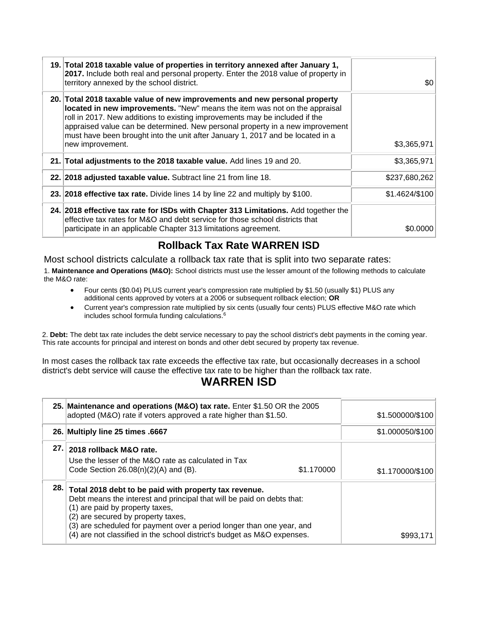| 19. Total 2018 taxable value of properties in territory annexed after January 1,<br>2017. Include both real and personal property. Enter the 2018 value of property in<br>territory annexed by the school district.                                                                                                                                                                                                            | \$0            |
|--------------------------------------------------------------------------------------------------------------------------------------------------------------------------------------------------------------------------------------------------------------------------------------------------------------------------------------------------------------------------------------------------------------------------------|----------------|
| 20. Total 2018 taxable value of new improvements and new personal property<br>located in new improvements. "New" means the item was not on the appraisal<br>roll in 2017. New additions to existing improvements may be included if the<br>appraised value can be determined. New personal property in a new improvement<br>must have been brought into the unit after January 1, 2017 and be located in a<br>new improvement. | \$3,365,971    |
| 21. Total adjustments to the 2018 taxable value. Add lines 19 and 20.                                                                                                                                                                                                                                                                                                                                                          | \$3,365,971    |
| 22. 2018 adjusted taxable value. Subtract line 21 from line 18.                                                                                                                                                                                                                                                                                                                                                                | \$237,680,262  |
| 23. 2018 effective tax rate. Divide lines 14 by line 22 and multiply by \$100.                                                                                                                                                                                                                                                                                                                                                 | \$1.4624/\$100 |
| 24. 2018 effective tax rate for ISDs with Chapter 313 Limitations. Add together the<br>effective tax rates for M&O and debt service for those school districts that<br>participate in an applicable Chapter 313 limitations agreement.                                                                                                                                                                                         | \$0.0000       |

## **Rollback Tax Rate WARREN ISD**

Most school districts calculate a rollback tax rate that is split into two separate rates:

1. **Maintenance and Operations (M&O):** School districts must use the lesser amount of the following methods to calculate the M&O rate:

- Four cents (\$0.04) PLUS current year's compression rate multiplied by \$1.50 (usually \$1) PLUS any additional cents approved by voters at a 2006 or subsequent rollback election; **OR**
- Current year's compression rate multiplied by six cents (usually four cents) PLUS effective M&O rate which includes school formula funding calculations.<sup>6</sup>

2. **Debt:** The debt tax rate includes the debt service necessary to pay the school district's debt payments in the coming year. This rate accounts for principal and interest on bonds and other debt secured by property tax revenue.

In most cases the rollback tax rate exceeds the effective tax rate, but occasionally decreases in a school district's debt service will cause the effective tax rate to be higher than the rollback tax rate.

## **WARREN ISD**

|       | 25. Maintenance and operations (M&O) tax rate. Enter \$1.50 OR the 2005<br>adopted (M&O) rate if voters approved a rate higher than \$1.50.                                                                                                                                                                                                                  |            | \$1.500000/\$100 |
|-------|--------------------------------------------------------------------------------------------------------------------------------------------------------------------------------------------------------------------------------------------------------------------------------------------------------------------------------------------------------------|------------|------------------|
|       | 26. Multiply line 25 times .6667                                                                                                                                                                                                                                                                                                                             |            | \$1.000050/\$100 |
| 27. I | 2018 rollback M&O rate.<br>Use the lesser of the M&O rate as calculated in Tax<br>Code Section $26.08(n)(2)(A)$ and (B).                                                                                                                                                                                                                                     | \$1.170000 | \$1.170000/\$100 |
| 28. l | Total 2018 debt to be paid with property tax revenue.<br>Debt means the interest and principal that will be paid on debts that:<br>(1) are paid by property taxes,<br>(2) are secured by property taxes,<br>(3) are scheduled for payment over a period longer than one year, and<br>(4) are not classified in the school district's budget as M&O expenses. |            | \$993.           |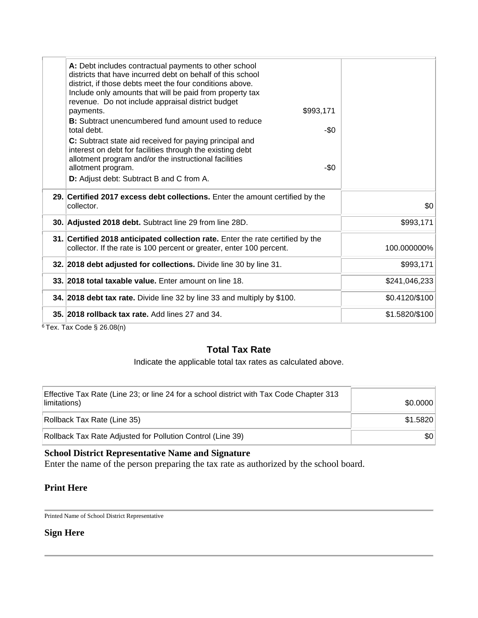| A: Debt includes contractual payments to other school<br>districts that have incurred debt on behalf of this school<br>district, if those debts meet the four conditions above.<br>Include only amounts that will be paid from property tax<br>revenue. Do not include appraisal district budget<br>\$993,171<br>payments.<br><b>B:</b> Subtract unencumbered fund amount used to reduce<br>-\$0<br>total debt.<br>C: Subtract state aid received for paying principal and<br>interest on debt for facilities through the existing debt<br>allotment program and/or the instructional facilities<br>$-50$<br>allotment program.<br>D: Adjust debt: Subtract B and C from A. |                |
|-----------------------------------------------------------------------------------------------------------------------------------------------------------------------------------------------------------------------------------------------------------------------------------------------------------------------------------------------------------------------------------------------------------------------------------------------------------------------------------------------------------------------------------------------------------------------------------------------------------------------------------------------------------------------------|----------------|
| 29. Certified 2017 excess debt collections. Enter the amount certified by the<br>collector.                                                                                                                                                                                                                                                                                                                                                                                                                                                                                                                                                                                 | \$0            |
| 30. Adjusted 2018 debt. Subtract line 29 from line 28D.                                                                                                                                                                                                                                                                                                                                                                                                                                                                                                                                                                                                                     | \$993,171      |
| 31. Certified 2018 anticipated collection rate. Enter the rate certified by the<br>collector. If the rate is 100 percent or greater, enter 100 percent.                                                                                                                                                                                                                                                                                                                                                                                                                                                                                                                     | 100.000000%    |
| 32. 2018 debt adjusted for collections. Divide line 30 by line 31.                                                                                                                                                                                                                                                                                                                                                                                                                                                                                                                                                                                                          | \$993,171      |
| 33. 2018 total taxable value. Enter amount on line 18.                                                                                                                                                                                                                                                                                                                                                                                                                                                                                                                                                                                                                      | \$241,046,233  |
| 34. 2018 debt tax rate. Divide line 32 by line 33 and multiply by \$100.                                                                                                                                                                                                                                                                                                                                                                                                                                                                                                                                                                                                    | \$0.4120/\$100 |
| 35. 2018 rollback tax rate. Add lines 27 and 34.                                                                                                                                                                                                                                                                                                                                                                                                                                                                                                                                                                                                                            | \$1.5820/\$100 |
| $\sim$ $\sim$ $\sim$ $\sim$ $\sim$ $\sim$ $\sim$                                                                                                                                                                                                                                                                                                                                                                                                                                                                                                                                                                                                                            |                |

 $6$ Tex. Tax Code § 26.08(n)

## **Total Tax Rate**

Indicate the applicable total tax rates as calculated above.

| Effective Tax Rate (Line 23; or line 24 for a school district with Tax Code Chapter 313<br>limitations) | \$0.0000 |
|---------------------------------------------------------------------------------------------------------|----------|
| Rollback Tax Rate (Line 35)                                                                             | \$1.5820 |
| Rollback Tax Rate Adjusted for Pollution Control (Line 39)                                              | \$0∣     |

### **School District Representative Name and Signature**

Enter the name of the person preparing the tax rate as authorized by the school board.

### **Print Here**

Printed Name of School District Representative

### **Sign Here**